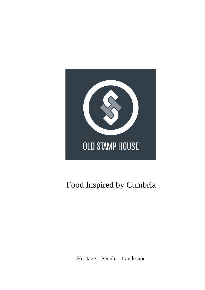

# Food Inspired by Cumbria

Heritage – People – Landscape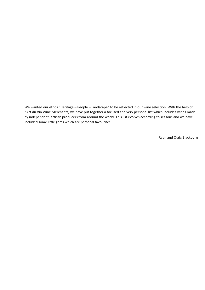We wanted our ethos "Heritage – People – Landscape" to be reflected in our wine selection. With the help of l'Art du Vin Wine Merchants, we have put together a focused and very personal list which includes wines made by independent, artisan producers from around the world. This list evolves according to seasons and we have included some little gems which are personal favourites.

Ryan and Craig Blackburn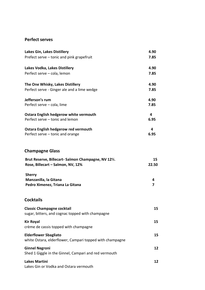## **Perfect serves**

| Lakes Gin, Lakes Distillery                                                              | 4.90           |
|------------------------------------------------------------------------------------------|----------------|
| Prefect serve - tonic and pink grapefruit                                                | 7.85           |
| Lakes Vodka, Lakes Distillery                                                            | 4.90           |
| Perfect serve - cola, lemon                                                              | 7.85           |
|                                                                                          |                |
| The One Whisky, Lakes Distillery                                                         | 4.90           |
| Perfect serve - Ginger ale and a lime wedge                                              | 7.85           |
| Jefferson's rum                                                                          | 4.90           |
| Perfect serve - cola, lime                                                               | 7.85           |
| Ostara English hedgerow white vermouth                                                   | 4              |
| Perfect serve - tonic and lemon                                                          | 6.95           |
| Ostara English hedgerow red vermouth                                                     | 4              |
| Perfect serve - tonic and orange                                                         | 6.95           |
| <b>Champagne Glass</b>                                                                   |                |
| Brut Reserve, Billecart-Salmon Champagne, NV 12%.                                        | 15             |
| Rose, Billecart - Salmon, NV, 12%                                                        | 22.50          |
| <b>Sherry</b>                                                                            |                |
| Manzanilla, la Gitana                                                                    | 4              |
| Pedro Ximenez, Triana La Gitana                                                          | $\overline{7}$ |
| <b>Cocktails</b>                                                                         |                |
|                                                                                          |                |
| <b>Classic Champagne cocktail</b><br>sugar, bitters, and cognac topped with champagne    | 15             |
|                                                                                          |                |
| <b>Kir Royal</b>                                                                         | 15             |
| crème de cassis topped with champagne                                                    |                |
| <b>Elderflower Sbagliato</b><br>white Ostara, elderflower, Campari topped with champagne | 15             |
|                                                                                          |                |
| <b>Ginnel Negroni</b>                                                                    | 12             |
| Shed 1 Giggle in the Ginnel, Campari and red vermouth                                    |                |
| <b>Lakes Martini</b>                                                                     | 12             |
| Lakes Gin or Vodka and Ostara vermouth                                                   |                |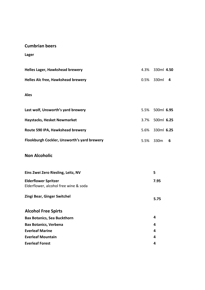## **Cumbrian beers**

#### **Lager**

| Helles Lager, Hawkshead brewery                                      |      | 4.3% 330ml 4.50 |
|----------------------------------------------------------------------|------|-----------------|
| Helles Alc free, Hawkshead brewery                                   |      | 0.5% 330ml<br>4 |
| <b>Ales</b>                                                          |      |                 |
| Last wolf, Unsworth's yard brewery                                   |      | 5.5% 500ml 6.95 |
| Haystacks, Hesket Newmarket                                          | 3.7% | 500ml 6.25      |
| Route 590 IPA, Hawkshead brewery                                     |      | 5.6% 330ml 6.25 |
| Flookburgh Cockler, Unsworth's yard brewery                          |      | 5.5% 330m<br>6  |
| <b>Non Alcoholic</b>                                                 |      |                 |
| Eins Zwei Zero Riesling, Leitz, NV                                   |      | 5               |
| <b>Elderflower Spritzer</b><br>Elderflower, alcohol free wine & soda |      | 7.95            |
| Zingi Bear, Ginger Switchel                                          |      | 5.75            |
| <b>Alcohol Free Spirts</b>                                           |      |                 |
| <b>Bax Botanics, Sea Buckthorn</b>                                   |      | 4               |
| <b>Bax Botanics, Verbena</b>                                         |      | 4               |
| <b>Everleaf Marine</b>                                               |      | 4               |
| <b>Everleaf Mountain</b>                                             |      | 4               |
| <b>Everleaf Forest</b>                                               |      | 4               |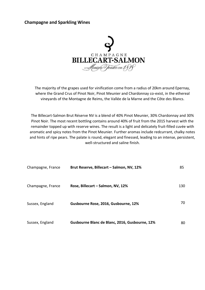## **Champagne and Sparkling Wines**



The majority of the grapes used for vinification come from a radius of 20km around Epernay, where the Grand Crus of Pinot Noir, Pinot Meunier and Chardonnay co-exist, in the ethereal vineyards of the Montagne de Reims, the Vallée de la Marne and the Côte des Blancs.

The Billecart-Salmon Brut Réserve NV is a blend of 40% Pinot Meunier, 30% Chardonnay and 30% Pinot Noir. The most recent bottling contains around 40% of fruit from the 2015 harvest with the remainder topped up with reserve wines. The result is a light and delicately fruit-filled cuvée with aromatic and spicy notes from the Pinot Meunier. Further aromas include redcurrant, chalky notes and hints of ripe pears. The palate is round, elegant and finessed, leading to an intense, persistent, well-structured and saline finish.

| Champagne, France | Brut Reserve, Billecart - Salmon, NV, 12%      | 85  |
|-------------------|------------------------------------------------|-----|
| Champagne, France | Rose, Billecart - Salmon, NV, 12%              | 130 |
| Sussex, England   | Gusbourne Rose, 2016, Gusbourne, 12%           | 70  |
| Sussex, England   | Gusbourne Blanc de Blanc, 2016, Gusbourne, 12% | 80  |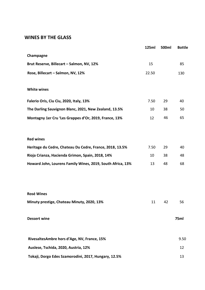## **WINES BY THE GLASS**

|                                                            | 125ml | 500ml | <b>Bottle</b> |
|------------------------------------------------------------|-------|-------|---------------|
| Champagne                                                  |       |       |               |
| Brut Reserve, Billecart - Salmon, NV, 12%                  | 15    |       | 85            |
| Rose, Billecart - Salmon, NV, 12%                          | 22.50 |       | 130           |
|                                                            |       |       |               |
| <b>White wines</b>                                         |       |       |               |
| Falerio Oris, Ciu Ciu, 2020, Italy, 13%                    | 7.50  | 29    | 40            |
| The Darling Sauvignon Blanc, 2021, New Zealand, 13.5%      | 10    | 38    | 50            |
| Montagny 1er Cru 'Les Grappes d'Or, 2019, France, 13%      | 12    | 46    | 65            |
|                                                            |       |       |               |
| <b>Red wines</b>                                           |       |       |               |
| Heritage du Cedre, Chateau Du Cedre, France, 2018, 13.5%   | 7.50  | 29    | 40            |
| Rioja Crianza, Hacienda Grimon, Spain, 2018, 14%           | 10    | 38    | 48            |
| Howard John, Lourens Family Wines, 2019, South Africa, 13% | 13    | 48    | 68            |
|                                                            |       |       |               |
|                                                            |       |       |               |
| <b>Rosé Wines</b>                                          |       |       |               |
| Minuty prestige, Chateau Minuty, 2020, 13%                 | 11    | 42    | 56            |
|                                                            |       |       |               |
| <b>Dessert wine</b>                                        |       |       | 75ml          |
|                                                            |       |       |               |
| RivesaltesAmbre hors d'Age, NV, France, 15%                |       |       | 9.50          |
| Auslese, Tschida, 2020, Austria, 12%                       |       |       | 12            |
| Tokaji, Dorgo Edes Szamorodini, 2017, Hungary, 12.5%       |       |       | 13            |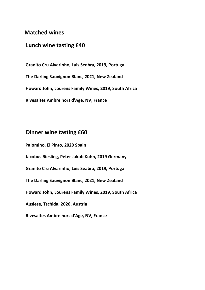## **Matched wines**

## **Lunch wine tasting £40**

**Granito Cru Alvarinho, Luis Seabra, 2019, Portugal The Darling Sauvignon Blanc, 2021, New Zealand Howard John, Lourens Family Wines, 2019, South Africa Rivesaltes Ambre hors d'Age, NV, France** 

# **Dinner wine tasting £60**

**Palomino, El Pinto, 2020 Spain Jacobus Riesling, Peter Jakob Kuhn, 2019 Germany Granito Cru Alvarinho, Luis Seabra, 2019, Portugal The Darling Sauvignon Blanc, 2021, New Zealand Howard John, Lourens Family Wines, 2019, South Africa Auslese, Tschida, 2020, Austria Rivesaltes Ambre hors d'Age, NV, France**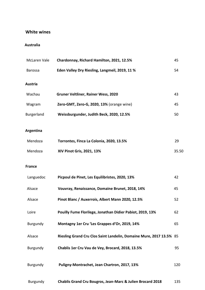## **White wines**

#### **Australia**

| McLaren Vale   | Chardonnay, Richard Hamilton, 2021, 12.5%                           | 45    |
|----------------|---------------------------------------------------------------------|-------|
| <b>Barossa</b> | Eden Valley Dry Riesling, Langmeil, 2019, 11 %                      | 54    |
| Austria        |                                                                     |       |
| Wachau         | Gruner Veltliner, Rainer Wess, 2020                                 | 43    |
| Wagram         | Zero-GMT, Zero-G, 2020, 13% (orange wine)                           | 45    |
| Burgerland     | Weissburgunder, Judith Beck, 2020, 12.5%                            | 50    |
| Argentina      |                                                                     |       |
| Mendoza        | Torrontes, Finca La Colonia, 2020, 13.5%                            | 29    |
| Mendoza        | XIV Pinot Gris, 2021, 13%                                           | 35.50 |
| <b>France</b>  |                                                                     |       |
| Languedoc      | Picpoul de Pinet, Les Equilibristes, 2020, 13%                      | 42    |
| Alsace         | Vouvray, Renaissance, Domaine Brunet, 2018, 14%                     | 45    |
| Alsace         | Pinot Blanc / Auxerrois, Albert Mann 2020, 12.5%                    | 52    |
| Loire          | Pouilly Fume Florilege, Jonathan Didier Pabiot, 2019, 13%           | 62    |
| Burgundy       | Montagny 1er Cru 'Les Grappes d'Or, 2019, 14%                       | 65    |
| Alsace         | Riesling Grand Cru Clos Saint Landelin, Domaine Mure, 2017 13.5% 85 |       |
| Burgundy       | Chablis 1er Cru Vau de Vey, Brocard, 2018, 13.5%                    | 95    |
| Burgundy       | Puligny-Montrachet, Jean Chartron, 2017, 13%                        | 120   |
| Burgundy       | Chablis Grand Cru Bougros, Jean-Marc & Julien Brocard 2018          | 135   |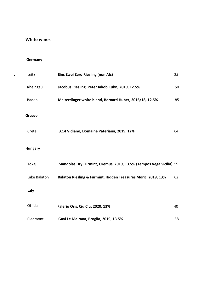## **White wines**

## **Germany**

| Leitz          | Eins Zwei Zero Riesling (non Alc)                                  | 25 |
|----------------|--------------------------------------------------------------------|----|
| Rheingau       | Jacobus Riesling, Peter Jakob Kuhn, 2019, 12.5%                    | 50 |
| Baden          | Malterdinger white blend, Bernard Huber, 2016/18, 12.5%            | 85 |
| <b>Greece</b>  |                                                                    |    |
| Crete          | 3.14 Vidiano, Domaine Pateriana, 2019, 12%                         | 64 |
| <b>Hungary</b> |                                                                    |    |
| Tokaj          | Mandolas Dry Furmint, Oremus, 2019, 13.5% (Tempos Vega Sicilia) 59 |    |
| Lake Balaton   | Balaton Riesling & Furmint, Hidden Treasures Moric, 2019, 13%      | 62 |
| <b>Italy</b>   |                                                                    |    |
| Offida         | Falerio Oris, Ciu Ciu, 2020, 13%                                   | 40 |
| Piedmont       | Gavi Le Meirana, Broglia, 2019, 13.5%                              | 58 |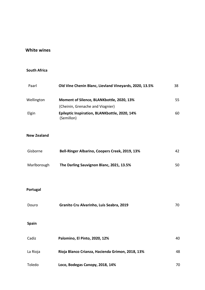## **White wines**

#### **South Africa**

| Paarl      | Old Vine Chenin Blanc, Lievland Vineyards, 2020, 13.5%      | 38  |
|------------|-------------------------------------------------------------|-----|
| Wellington | Moment of Silence, BLANKbottle, 2020, 13%                   | 55. |
|            | (Cheinin, Grenache and Viognier)                            |     |
| Elgin      | Epileptic Inspiration, BLANKbottle, 2020, 14%<br>(Semillon) | 60  |

## **New Zealand**

| Gisborne    | Bell-Ringer Albarino, Coopers Creek, 2019, 13% | 42 |
|-------------|------------------------------------------------|----|
| Marlborough | The Darling Sauvignon Blanc, 2021, 13.5%       | 50 |

## **Portugal**

| Douro        | Granito Cru Alvarinho, Luis Seabra, 2019         | 70 |
|--------------|--------------------------------------------------|----|
| <b>Spain</b> |                                                  |    |
| Cadiz        | Palomino, El Pinto, 2020, 12%                    | 40 |
| La Rioja     | Rioja Blanco Crianza, Hacienda Grimon, 2018, 13% | 48 |
| Toledo       | Loco, Bodegas Canopy, 2018, 14%                  | 70 |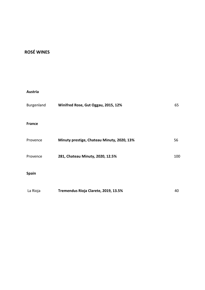## **ROSÉ WINES**

#### **Austria**

| Burgenland    | Winifred Rose, Gut Oggau, 2015, 12%        | 65  |
|---------------|--------------------------------------------|-----|
| <b>France</b> |                                            |     |
| Provence      | Minuty prestige, Chateau Minuty, 2020, 13% | 56  |
| Provence      | 281, Chateau Minuty, 2020, 12.5%           | 100 |
| <b>Spain</b>  |                                            |     |
| La Rioja      | Tremendus Rioja Clarete, 2019, 13.5%       | 40  |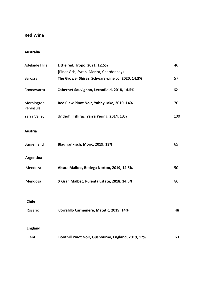## **Red Wine**

#### **Australia**

| <b>Adelaide Hills</b>   | Little red, Tropo, 2021, 12.5%                     | 46  |
|-------------------------|----------------------------------------------------|-----|
|                         | (Pinot Gris, Syrah, Merlot, Chardonnay)            |     |
| Barossa                 | The Grower Shiraz, Schwarz wine co, 2020, 14.3%    | 57  |
| Coonawarra              | Cabernet Sauvignon, Leconfield, 2018, 14.5%        | 62  |
| Mornington<br>Peninsula | Red Claw Pinot Noir, Yabby Lake, 2019, 14%         | 70  |
| Yarra Valley            | Underhill shiraz, Yarra Yering, 2014, 13%          | 100 |
| Austria                 |                                                    |     |
| Burgenland              | Blaufrankisch, Moric, 2019, 13%                    | 65  |
| Argentina               |                                                    |     |
| Mendoza                 | Altura Malbec, Bodega Norton, 2019, 14.5%          | 50  |
| Mendoza                 | X Gran Malbec, Pulenta Estate, 2018, 14.5%         | 80  |
| Chile                   |                                                    |     |
| Rosario                 | Corralillo Carmenere, Matetic, 2019, 14%           | 48  |
|                         |                                                    |     |
| <b>England</b>          |                                                    |     |
| Kent                    | Boothill Pinot Noir, Gusbourne, England, 2019, 12% | 60  |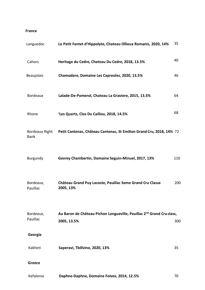#### **France**

| Languedoc                     | Lo Petit Fantet d'Hippolyte, Chateau Ollieux Romanis, 2020, 14%                                  | 35  |
|-------------------------------|--------------------------------------------------------------------------------------------------|-----|
| Cahors                        | Heritage du Cedre, Chateau Du Cedre, 2018, 13.5%                                                 | 40  |
| Beaujolais                    | Chamodere, Domaine Les Capreoles, 2020, 13.5%                                                    | 46  |
| <b>Bordeaux</b>               | Lalade-De-Pomerol, Chateau La Graviere, 2015, 13.5%                                              | 64  |
| Rhone                         | 'Les Quartz, Clos Du Caillou, 2018, 14.5%                                                        | 68  |
| Bordeaux Right<br><b>Bank</b> | Petit Cantenac, Château Cantenac, St Emilion Grand Cru, 2018, 14% 72                             |     |
| Burgundy                      | Gevrey Chambertin, Domaine Seguin-Minuel, 2017, 13%                                              | 110 |
| Bordeaux,<br>Pauillac         | Château Grand Puy Lacoste, Pauillac 5eme Grand Cru Classe<br>2005, 13%                           | 200 |
| Bordeaux,<br>Pauillac         | Au Baron de Château Pichon Longueville, Pauillac 2 <sup>nd</sup> Grand Cru class,<br>2005, 13.5% | 300 |
| Georgia                       |                                                                                                  |     |
| Kakheti                       | Saperavi, Tbillvino, 2020, 13%                                                                   | 35  |
| <b>Greece</b>                 |                                                                                                  |     |
| Kefalonia                     | Daphne-Daphne, Domaine Foivos, 2014, 12.5%                                                       | 70  |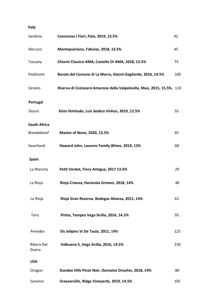| <b>Italy</b>        |                                                                         |     |
|---------------------|-------------------------------------------------------------------------|-----|
| Sardinia            | Connonau I Fiori, Pala, 2019, 13.5%                                     | 42  |
| Abruzzo             | Montepulciano, Fabulas, 2018, 13.5%                                     | 45  |
| Tuscany             | Chianti Classico AMA, Castello Di AMA, 2018, 13.5%                      | 75  |
| Piedmont            | Barolo del Comune di La Morra, Gianni Gagliardo, 2016, 14.5%            | 100 |
| Veneto              | Riserva di Costasera Amarone della Valpolicella, Masi, 2015, 15.5%. 110 |     |
| Portugal            |                                                                         |     |
| Douro               | Xisto Ilimitado, Luis Seabra Vinhos, 2019, 12.5%                        | 55  |
| <b>South Africa</b> |                                                                         |     |
| <b>Breedekloof</b>  | Master of None, 2020, 13.5%                                             | 45  |
| Swartland           | Howard John, Lourens Family Wines, 2019, 13%                            | 68  |
| <b>Spain</b>        |                                                                         |     |
| La Mancha           | Petit Verdot, Finca Antigua, 2017 13.5%                                 | 29  |
| La Rioja            | Rioja Crianza, Hacienda Grimon, 2018, 14%                               | 48  |
| La Rioja            | Rioja Gran Reserva, Bodegas Altanza, 2011, 14%                          | 62  |
| Toro                | Pintia, Tempos Vega Sicilia, 2016, 14.5%                                | 95  |
| Penedes             | Els Jelipins Vi De Taula, 2011, 14%                                     | 125 |
| Ribera Del<br>Duero | Valbuena 5, Vega Sicilia, 2016, 14.5%                                   | 230 |
| <b>USA</b>          |                                                                         |     |
|                     |                                                                         |     |

| Oregon | Dundee Hills Pinot Noir, Domaine Drouhin, 2018, 14% | 80  |
|--------|-----------------------------------------------------|-----|
| Sanoma | Greyserville, Ridge Vineyards, 2019, 14.5%          | 105 |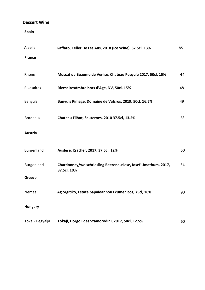## **Dessert Wine**

 **Spain**

| Aleella         | Gaffaro, Celler De Les Aus, 2018 (Ice Wine), 37.5cl, 13%                     | 60 |
|-----------------|------------------------------------------------------------------------------|----|
| <b>France</b>   |                                                                              |    |
| Rhone           | Muscat de Beaume de Venise, Chateau Pesquie 2017, 50cl, 15%                  | 44 |
| Rivesaltes      | RivesaltesAmbre hors d'Age, NV, 50cl, 15%                                    | 48 |
| <b>Banyuls</b>  | Banyuls Rimage, Domaine de Valcros, 2019, 50cl, 16.5%                        | 49 |
| <b>Bordeaux</b> | Chateau Filhot, Sauternes, 2010 37.5cl, 13.5%                                | 58 |
| <b>Austria</b>  |                                                                              |    |
| Burgenland      | Auslese, Kracher, 2017, 37.5cl, 12%                                          | 50 |
| Burgenland      | Chardonnay/welschriesling Beerenauslese, Josef Umathum, 2017,<br>37.5cl, 10% | 54 |
| <b>Greece</b>   |                                                                              |    |
| Nemea           | Agiorgitiko, Estate papaioannou Ecumenicos, 75cl, 16%                        | 90 |
| <b>Hungary</b>  |                                                                              |    |
| Tokaj-Hegyalja  | Tokaji, Dorgo Edes Szamorodini, 2017, 50cl, 12.5%                            | 60 |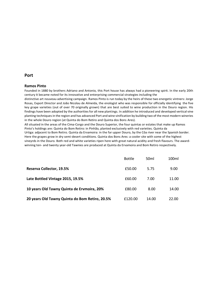#### **Port**

#### **Ramos Pinto**

Founded in 1880 by brothers Adriano and Antonio, this Port house has always had a pioneering spirit. In the early 20th century it became noted for its innovative and enterprising commercial strategies including the

distinctive art nouveau advertising campaign. Ramos Pinto is run today by the heirs of these two energetic vintners: Jorge Rosas, Export Director and João Nicolau de Almeida, the enologist who was responsible for officially identifying the five key grape varieties (out of over 70 originally grown) that are best suited to wine production in the Douro region. His findings have been adopted by the authorities for all new plantings. In addition he introduced and developed vertical vine planting techniques in the region and has advanced Port and wine vinification by building two of the most modern wineries in the whole Douro region (at Quinta do Bom Retiro and Quinta dos Bons Ares).

All situated in the areas of the Cima-Corgo and the Douro Superior, the four quintas or estates that make up Ramos Pinto's holdings are: Quinta do Bom Retiro: in Pinhão, planted exclusively with red varieties. Quinta da Urtiga: adjacent to Bom Retiro. Quinta da Ervamoira: in the far upper Douro, by the Côa river near the Spanish border. Here the grapes grow in dry semi-desert conditions. Quinta dos Bons Ares: a cooler site with some of the highest vineyrds in the Douro. Both red and white varieties ripen here with great natural acidity and fresh flavours. The awardwinning ten- and twenty year-old Tawnies are produced at Quinta da Ervamoira and Bom Retiro respectively.

|                                                | <b>Bottle</b> | 50 <sub>ml</sub> | 100ml |
|------------------------------------------------|---------------|------------------|-------|
| Reserva Collector, 19.5%                       | £50.00        | 5.75             | 9.00  |
| Late Bottled Vintage 2015, 19.5%               | £60.00        | 7.00             | 11.00 |
| 10 years Old Tawny Quinta de Ervmoira, 20%     | £80.00        | 8.00             | 14.00 |
| 20 years Old Tawny Quinta do Bom Retiro, 20.5% | £120.00       | 14.00            | 22.00 |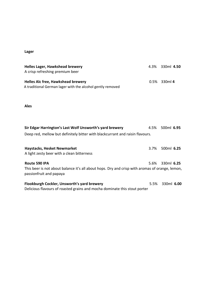## **Lager**

| <b>Helles Lager, Hawkshead brewery</b><br>A crisp refreshing premium beer                                                                   | 4.3% | 330ml 4.50 |
|---------------------------------------------------------------------------------------------------------------------------------------------|------|------------|
| <b>Helles Alc free, Hawkshead brewery</b><br>A traditional German lager with the alcohol gently removed                                     | 0.5% | 330ml 4    |
| <b>Ales</b>                                                                                                                                 |      |            |
| Sir Edgar Harrington's Last Wolf Unsworth's yard brewery<br>Deep red, mellow but definitely bitter with blackcurrant and raisin flavours.   | 4.5% | 500ml 6.95 |
| Haystacks, Hesket Newmarket<br>A light zesty beer with a clean bitterness                                                                   | 3.7% | 500ml 6.25 |
| Route 590 IPA<br>This beer is not about balance it's all about hops. Dry and crisp with aromas of orange, lemon,<br>passionfruit and papaya | 5.6% | 330ml 6.25 |
| Flookburgh Cockler, Unsworth's yard brewery<br>Delicious flavours of roasted grains and mocha dominate this stout porter                    | 5.5% | 330ml 6.00 |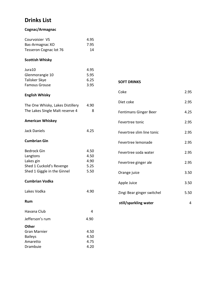# **Drinks List**

#### **Cognac/Armagnac**

| Courvoisier VS         | 4.95 |
|------------------------|------|
| Bas-Armagnac XO        | 7.95 |
| Tesseron Cognac lot 76 | 14   |

#### **Scottish Whisky**

| Jura10               | 4.95 |
|----------------------|------|
| Glenmorangie 10      | 5.95 |
| Talisker Skye        | 6.25 |
| <b>Famous Grouse</b> | 3.95 |

#### **English Whisky**

| The One Whisky, Lakes Distillery | 4.90 |
|----------------------------------|------|
| The Lakes Single Malt reserve 4  | 8    |

#### **American Whiskey**

| Jack Daniels        | 4.25 |
|---------------------|------|
| <b>Cumbrian Gin</b> |      |
| <b>Bedrock Gin</b>  | 4.50 |
| Langtons            | 4.50 |
| .                   |      |

| Lakes gin                   | 4.90 |
|-----------------------------|------|
| Shed 1 Cuckold's Revenge    | 5.2S |
| Shed 1 Giggle in the Ginnel | 5.50 |

#### **Cumbrian Vodka**

Lakes Vodka 1.90

#### **Rum**

| Jefferson's rum | 4.90 |
|-----------------|------|
|-----------------|------|

## **Other**

| Gran Marnier   | 4.50 |
|----------------|------|
| <b>Baileys</b> | 4.50 |
| Amaretto       | 4.75 |
| Drambuie       | 4.20 |

**SOFT DRINKS**

- Coke 2.95
- Diet coke 2.95
- Fentimans Ginger Beer 4.25
- Fevertree tonic 2.95
- Fevertree slim line tonic 2.95
- Fevertree lemonade 2.95
- Fevertree soda water **2.95**
- Fevertree ginger ale 2.95
- Orange juice 3.50 Apple Juice 3.50
- Zingi Bear ginger switchel 5.50
- **still/sparkling water** 4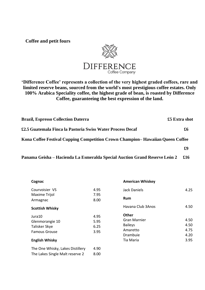**Coffee and petit fours**



## **'Difference Coffee' represents a collection of the very highest graded coffees, rare and limited reserve beans, sourced from the world's most prestigious coffee estates. Only 100% Arabica Speciality coffee, the highest grade of bean, is roasted by Difference Coffee, guaranteeing the best expression of the land.**

| <b>Brazil, Espresso Collection Daterra</b>                                               | £5 Extra shot |  |  |
|------------------------------------------------------------------------------------------|---------------|--|--|
| £2.5 Guatemala Finca la Pastoria Swiss Water Process Decaf                               | £6            |  |  |
| Kona Coffee Festival Cupping Competition Crown Champion– Hawaiian Queen Coffee           |               |  |  |
|                                                                                          | £9            |  |  |
| $\sim \cdot$ $\cdot$<br>$\mathbf{H}$ , it is in the set of the set of $\mathbf{H}$<br>∽. |               |  |  |

|  |  |  |  |  |  |  |  | Panama Geisha – Hacienda La Esmeralda Special Auction Grand Reserve León 2 £16 |  |  |
|--|--|--|--|--|--|--|--|--------------------------------------------------------------------------------|--|--|
|--|--|--|--|--|--|--|--|--------------------------------------------------------------------------------|--|--|

| Cognac                                                                                      |                              | <b>American Whiskey</b>                                                             |                                      |
|---------------------------------------------------------------------------------------------|------------------------------|-------------------------------------------------------------------------------------|--------------------------------------|
| Courvoisier VS<br>Maxime Trijol                                                             | 4.95<br>7.95                 | Jack Daniels                                                                        | 4.25                                 |
| Armagnac                                                                                    | 8.00                         | Rum                                                                                 |                                      |
| <b>Scottish Whisky</b>                                                                      |                              | Havana Club 3Anos                                                                   | 4.50                                 |
| Jura10<br>Glenmorangie 10<br>Talisker Skye<br><b>Famous Grouse</b><br><b>English Whisky</b> | 4.95<br>5.95<br>6.25<br>3.95 | <b>Other</b><br>Gran Marnier<br><b>Baileys</b><br>Amaretto<br>Drambuie<br>Tia Maria | 4.50<br>4.50<br>4.75<br>4.20<br>3.95 |
| The One Whisky, Lakes Distillery<br>The Lakes Single Malt reserve 2                         | 4.90<br>8.00                 |                                                                                     |                                      |